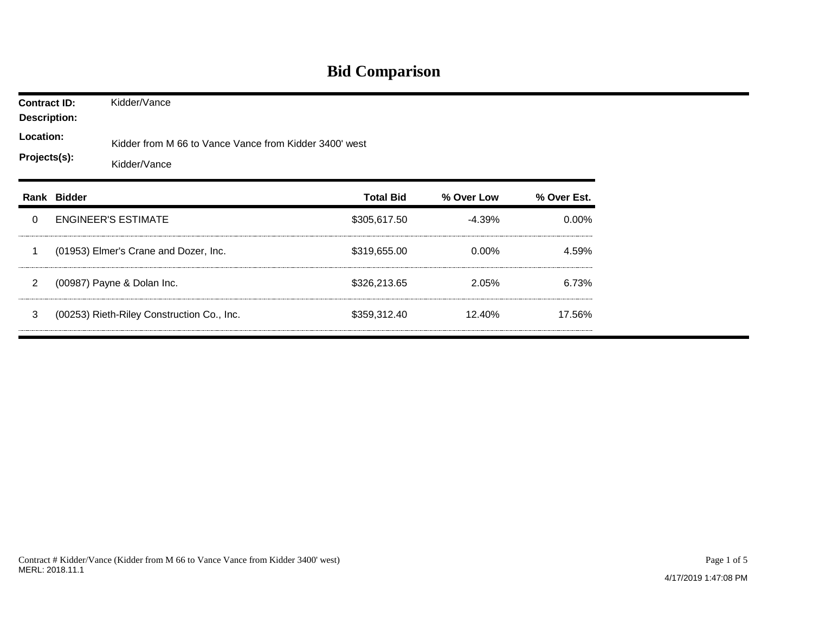## **Bid Comparison**

| <b>Contract ID:</b><br><b>Description:</b><br>Location:<br>Projects(s): |             | Kidder/Vance                                                           |                  |            |             |  |  |  |  |
|-------------------------------------------------------------------------|-------------|------------------------------------------------------------------------|------------------|------------|-------------|--|--|--|--|
|                                                                         |             | Kidder from M 66 to Vance Vance from Kidder 3400' west<br>Kidder/Vance |                  |            |             |  |  |  |  |
|                                                                         | Rank Bidder |                                                                        | <b>Total Bid</b> | % Over Low | % Over Est. |  |  |  |  |
| $\Omega$                                                                |             | <b>ENGINEER'S ESTIMATE</b>                                             | \$305,617.50     | $-4.39%$   | $0.00\%$    |  |  |  |  |
| -1                                                                      |             | (01953) Elmer's Crane and Dozer, Inc.                                  | \$319,655.00     | $0.00\%$   | 4.59%       |  |  |  |  |
| $\overline{2}$                                                          |             | (00987) Payne & Dolan Inc.                                             | \$326,213.65     | 2.05%      | 6.73%       |  |  |  |  |
| 3                                                                       |             | (00253) Rieth-Riley Construction Co., Inc.                             | \$359,312.40     | 12.40%     | 17.56%      |  |  |  |  |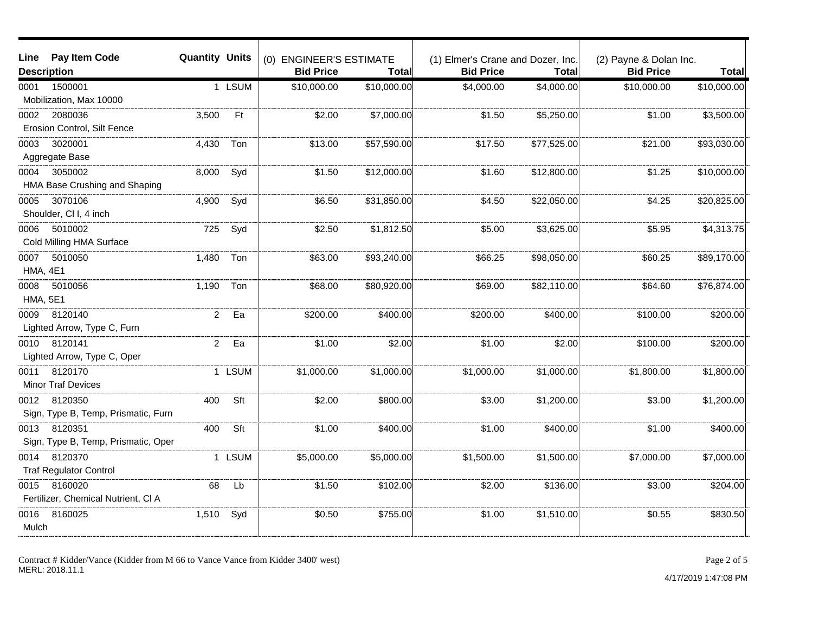| Line                    | Pay Item Code                                  | <b>Quantity Units</b> |        |                                             |              |                                                       |             |                                            |              |
|-------------------------|------------------------------------------------|-----------------------|--------|---------------------------------------------|--------------|-------------------------------------------------------|-------------|--------------------------------------------|--------------|
|                         | <b>Description</b>                             |                       |        | (0) ENGINEER'S ESTIMATE<br><b>Bid Price</b> | Total        | (1) Elmer's Crane and Dozer, Inc.<br><b>Bid Price</b> | Total       | (2) Payne & Dolan Inc.<br><b>Bid Price</b> | <b>Total</b> |
|                         | 1500001                                        |                       | 1 LSUM | \$10,000.00                                 | \$10,000.00  | \$4,000.00                                            | \$4,000.00  | \$10,000.00                                | \$10,000.00  |
| 0001                    | Mobilization, Max 10000                        |                       |        |                                             |              |                                                       |             |                                            |              |
| 0002                    | 2080036<br>Erosion Control, Silt Fence         | 3,500                 | Ft     | \$2.00                                      | \$7,000.00   | \$1.50                                                | \$5,250.00  | \$1.00                                     | \$3,500.00   |
| 0003                    | 3020001<br>Aggregate Base                      | 4,430                 | Ton    | \$13.00                                     | \$57,590.00  | \$17.50                                               | \$77,525.00 | \$21.00                                    | \$93,030.00  |
| 0004                    | 3050002<br>HMA Base Crushing and Shaping       | 8,000                 | Syd    | \$1.50                                      | \$12,000.00] | \$1.60                                                | \$12,800.00 | \$1.25                                     | \$10,000.00  |
| 0005                    | 3070106<br>Shoulder, Cl I, 4 inch              | 4,900                 | Syd    | \$6.50                                      | \$31,850.00  | \$4.50                                                | \$22,050.00 | \$4.25                                     | \$20,825.00  |
| 0006                    | 5010002<br>Cold Milling HMA Surface            | 725                   | Syd    | \$2.50                                      | \$1,812.50   | \$5.00                                                | \$3,625.00  | \$5.95                                     | \$4,313.75   |
| 0007<br><b>HMA, 4E1</b> | 5010050                                        | 1,480                 | Ton    | \$63.00                                     | \$93,240.00  | \$66.25                                               | \$98,050.00 | \$60.25                                    | \$89,170.00  |
| 0008<br><b>HMA, 5E1</b> | 5010056                                        | 1,190                 | Ton    | \$68.00                                     | \$80,920.00  | \$69.00                                               | \$82,110.00 | \$64.60                                    | \$76,874.00  |
| 0009                    | 8120140<br>Lighted Arrow, Type C, Furn         | $\overline{2}$        | Ea     | \$200.00                                    | \$400.00     | \$200.00                                              | \$400.00    | \$100.00                                   | \$200.00     |
| 0010                    | 8120141<br>Lighted Arrow, Type C, Oper         | $\overline{2}$        | Ea     | \$1.00                                      | \$2.00       | \$1.00                                                | \$2.00      | \$100.00                                   | \$200.00     |
| 0011                    | 8120170<br><b>Minor Traf Devices</b>           |                       | 1 LSUM | \$1,000.00                                  | \$1,000.00]  | \$1,000.00                                            | \$1,000.00  | \$1,800.00                                 | \$1,800.00   |
| 0012                    | 8120350<br>Sign, Type B, Temp, Prismatic, Furn | 400                   | Sft    | \$2.00                                      | \$800.00     | \$3.00                                                | \$1,200.00  | \$3.00                                     | \$1,200.00   |
| 0013                    | 8120351<br>Sign, Type B, Temp, Prismatic, Oper | 400                   | Sft    | \$1.00                                      | \$400.00     | \$1.00                                                | \$400.00    | \$1.00                                     | \$400.00     |
| 0014                    | 8120370<br><b>Traf Regulator Control</b>       |                       | 1 LSUM | \$5,000.00                                  | \$5,000.00   | \$1,500.00                                            | \$1,500.00  | \$7,000.00                                 | \$7,000.00   |
| 0015                    | 8160020<br>Fertilizer, Chemical Nutrient, CI A | 68                    | Lb     | \$1.50                                      | \$102.00     | \$2.00                                                | \$136.00    | \$3.00                                     | \$204.00     |
| 0016<br>Mulch           | 8160025                                        | 1,510                 | Syd    | \$0.50                                      | \$755.00     | \$1.00                                                | \$1,510.00  | \$0.55                                     | \$830.50     |

Contract # Kidder/Vance (Kidder from M 66 to Vance Vance from Kidder 3400' west) MERL: 2018.11.1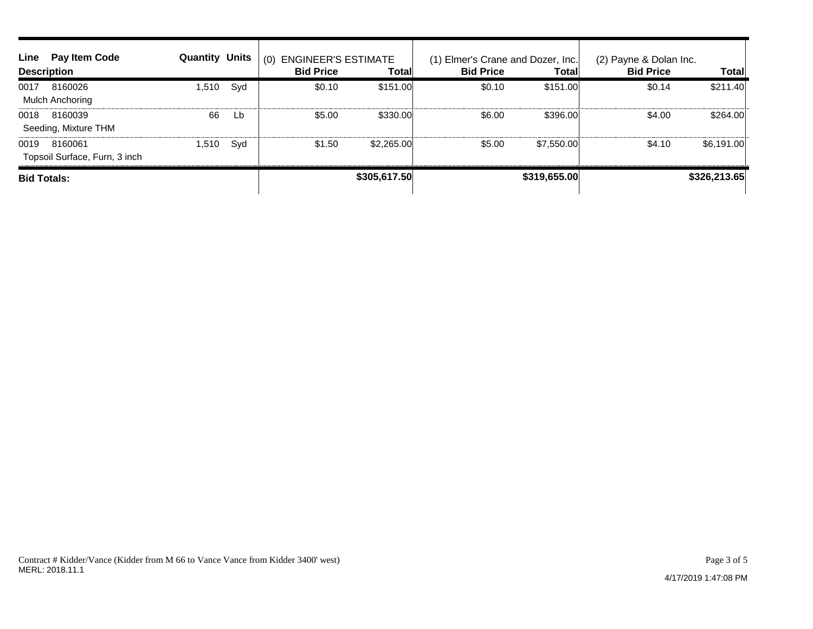| Line               | Pay Item Code<br><b>Description</b>      | <b>Quantity Units</b> |              | <b>ENGINEER'S ESTIMATE</b><br>(0)<br><b>Bid Price</b> | Total        | (1) Elmer's Crane and Dozer, Inc.<br><b>Bid Price</b> | <b>Total</b> | (2) Payne & Dolan Inc.<br><b>Bid Price</b> | <b>Total</b> |
|--------------------|------------------------------------------|-----------------------|--------------|-------------------------------------------------------|--------------|-------------------------------------------------------|--------------|--------------------------------------------|--------------|
| 0017               | 8160026<br>Mulch Anchoring               | 1,510                 | Syd          | \$0.10                                                | \$151.00     | \$0.10                                                | \$151.00     | \$0.14                                     | \$211.40     |
| 0018               | 8160039<br>Seeding, Mixture THM          | 66                    | Lb           | \$5.00                                                | \$330.00     | \$6.00                                                | \$396.00     | \$4.00                                     | \$264.00     |
| 0019               | 8160061<br>Topsoil Surface, Furn, 3 inch | 1,510                 | Syd          | \$1.50                                                | \$2,265.00   | \$5.00                                                | \$7,550.00   | \$4.10                                     | \$6,191.00   |
| <b>Bid Totals:</b> |                                          |                       | \$305,617.50 |                                                       | \$319,655.00 |                                                       | \$326,213.65 |                                            |              |

Page 3 of 5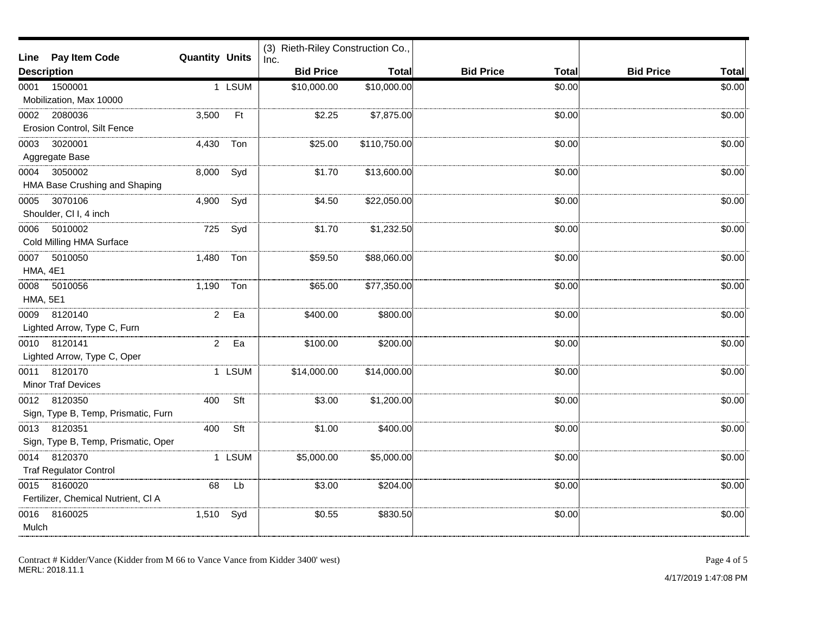| Line                                                 | <b>Pay Item Code</b>                                | <b>Quantity Units</b> |        | (3) Rieth-Riley Construction Co.,<br>Inc. |              |                                  |                                  |
|------------------------------------------------------|-----------------------------------------------------|-----------------------|--------|-------------------------------------------|--------------|----------------------------------|----------------------------------|
| <b>Description</b>                                   |                                                     |                       |        | <b>Bid Price</b>                          | Total        | <b>Bid Price</b><br><b>Total</b> | <b>Bid Price</b><br><b>Total</b> |
| 1500001<br>1 LSUM<br>0001<br>Mobilization, Max 10000 |                                                     |                       |        | \$10,000.00                               | \$10,000.00  | \$0.00                           | \$0.00                           |
| 0002                                                 | 2080036<br>Erosion Control, Silt Fence              | 3,500                 | Ft     | \$2.25                                    | \$7,875.00   | \$0.00                           | \$0.00                           |
| 0003                                                 | 3020001<br>Aggregate Base                           | 4,430                 | Ton    | \$25.00                                   | \$110,750.00 | \$0.00                           | \$0.00                           |
| 0004                                                 | 3050002<br>HMA Base Crushing and Shaping            | 8,000                 | Syd    | \$1.70                                    | \$13,600.00  | \$0.00                           | \$0.00                           |
| 0005                                                 | 3070106<br>Shoulder, Cl I, 4 inch                   | 4,900                 | Syd    | \$4.50                                    | \$22,050.00  | \$0.00                           | \$0.00                           |
| 0006                                                 | 5010002<br>Cold Milling HMA Surface                 | 725                   | Syd    | \$1.70                                    | \$1,232.50   | \$0.00                           | \$0.00                           |
| 0007<br><b>HMA, 4E1</b>                              | 5010050                                             | 1,480                 | Ton    | \$59.50                                   | \$88,060.00  | \$0.00                           | \$0.00                           |
| 0008<br><b>HMA, 5E1</b>                              | 5010056                                             | 1,190                 | Ton    | \$65.00                                   | \$77,350.00  | \$0.00                           | \$0.00                           |
| 0009                                                 | 8120140<br>Lighted Arrow, Type C, Furn              | $\overline{a}$        | Ea     | \$400.00                                  | \$800.00     | \$0.00                           | \$0.00                           |
| 0010                                                 | 8120141<br>Lighted Arrow, Type C, Oper              | $\overline{2}$        | Ea     | \$100.00                                  | \$200.00     | \$0.00                           | \$0.00                           |
|                                                      | 0011 8120170<br><b>Minor Traf Devices</b>           |                       | 1 LSUM | \$14,000.00                               | \$14,000.00  | \$0.00                           | \$0.00                           |
|                                                      | 0012 8120350<br>Sign, Type B, Temp, Prismatic, Furn | 400                   | Sft    | \$3.00                                    | \$1,200.00   | \$0.00                           | \$0.00                           |
| 0013                                                 | 8120351<br>Sign, Type B, Temp, Prismatic, Oper      | 400                   | Sft    | \$1.00                                    | \$400.00     | \$0.00                           | \$0.00                           |
| 0014                                                 | 8120370<br><b>Traf Regulator Control</b>            |                       | 1 LSUM | \$5,000.00                                | \$5,000.00   | \$0.00                           | \$0.00                           |
| 0015                                                 | 8160020<br>Fertilizer, Chemical Nutrient, CI A      | 68                    | Lb     | \$3.00                                    | \$204.00     | \$0.00                           | \$0.00                           |
| 0016<br>Mulch                                        | 8160025                                             | 1,510                 | Syd    | \$0.55                                    | \$830.50     | \$0.00                           | \$0.00                           |